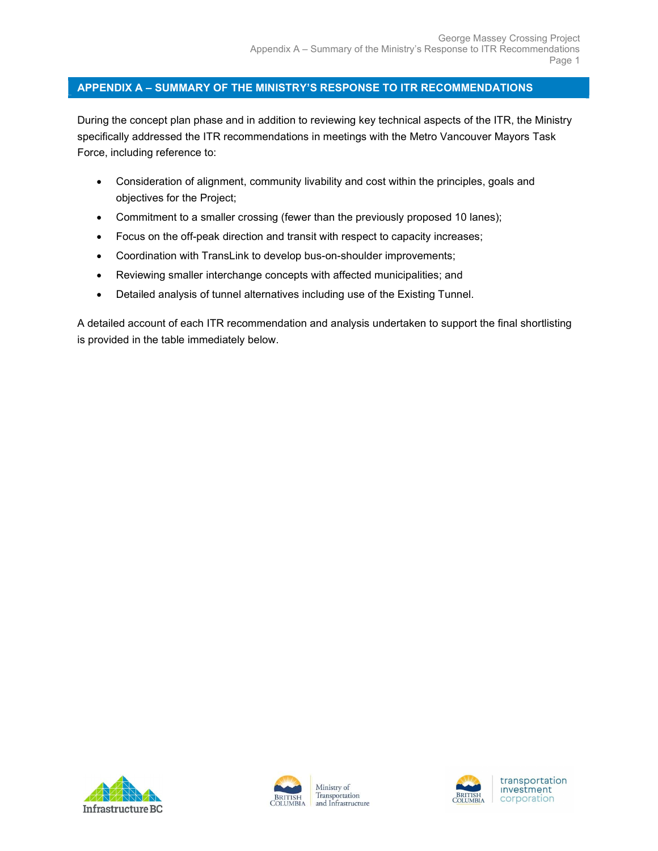## APPENDIX A – SUMMARY OF THE MINISTRY'S RESPONSE TO ITR RECOMMENDATIONS

During the concept plan phase and in addition to reviewing key technical aspects of the ITR, the Ministry specifically addressed the ITR recommendations in meetings with the Metro Vancouver Mayors Task Force, including reference to:

- Consideration of alignment, community livability and cost within the principles, goals and objectives for the Project;
- Commitment to a smaller crossing (fewer than the previously proposed 10 lanes);
- Focus on the off-peak direction and transit with respect to capacity increases;
- Coordination with TransLink to develop bus-on-shoulder improvements;
- Reviewing smaller interchange concepts with affected municipalities; and
- Detailed analysis of tunnel alternatives including use of the Existing Tunnel.

A detailed account of each ITR recommendation and analysis undertaken to support the final shortlisting is provided in the table immediately below.







transportation **Investment** corporation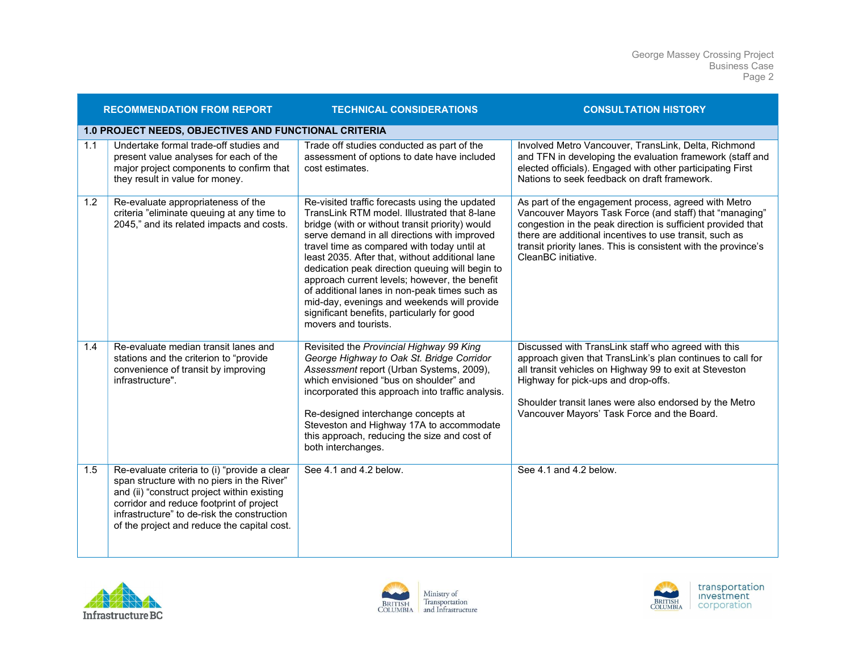|                                                              | <b>RECOMMENDATION FROM REPORT</b>                                                                                                                                                                                                                                                   | <b>TECHNICAL CONSIDERATIONS</b>                                                                                                                                                                                                                                                                                                                                                                                                                                                                                                                                                | <b>CONSULTATION HISTORY</b>                                                                                                                                                                                                                                                                                                         |  |
|--------------------------------------------------------------|-------------------------------------------------------------------------------------------------------------------------------------------------------------------------------------------------------------------------------------------------------------------------------------|--------------------------------------------------------------------------------------------------------------------------------------------------------------------------------------------------------------------------------------------------------------------------------------------------------------------------------------------------------------------------------------------------------------------------------------------------------------------------------------------------------------------------------------------------------------------------------|-------------------------------------------------------------------------------------------------------------------------------------------------------------------------------------------------------------------------------------------------------------------------------------------------------------------------------------|--|
| <b>1.0 PROJECT NEEDS, OBJECTIVES AND FUNCTIONAL CRITERIA</b> |                                                                                                                                                                                                                                                                                     |                                                                                                                                                                                                                                                                                                                                                                                                                                                                                                                                                                                |                                                                                                                                                                                                                                                                                                                                     |  |
| 1.1                                                          | Undertake formal trade-off studies and<br>present value analyses for each of the<br>major project components to confirm that<br>they result in value for money.                                                                                                                     | Trade off studies conducted as part of the<br>assessment of options to date have included<br>cost estimates.                                                                                                                                                                                                                                                                                                                                                                                                                                                                   | Involved Metro Vancouver, TransLink, Delta, Richmond<br>and TFN in developing the evaluation framework (staff and<br>elected officials). Engaged with other participating First<br>Nations to seek feedback on draft framework.                                                                                                     |  |
| 1.2                                                          | Re-evaluate appropriateness of the<br>criteria "eliminate queuing at any time to<br>2045," and its related impacts and costs.                                                                                                                                                       | Re-visited traffic forecasts using the updated<br>TransLink RTM model. Illustrated that 8-lane<br>bridge (with or without transit priority) would<br>serve demand in all directions with improved<br>travel time as compared with today until at<br>least 2035. After that, without additional lane<br>dedication peak direction queuing will begin to<br>approach current levels; however, the benefit<br>of additional lanes in non-peak times such as<br>mid-day, evenings and weekends will provide<br>significant benefits, particularly for good<br>movers and tourists. | As part of the engagement process, agreed with Metro<br>Vancouver Mayors Task Force (and staff) that "managing"<br>congestion in the peak direction is sufficient provided that<br>there are additional incentives to use transit, such as<br>transit priority lanes. This is consistent with the province's<br>CleanBC initiative. |  |
| 1.4                                                          | Re-evaluate median transit lanes and<br>stations and the criterion to "provide<br>convenience of transit by improving<br>infrastructure".                                                                                                                                           | Revisited the Provincial Highway 99 King<br>George Highway to Oak St. Bridge Corridor<br>Assessment report (Urban Systems, 2009),<br>which envisioned "bus on shoulder" and<br>incorporated this approach into traffic analysis.<br>Re-designed interchange concepts at<br>Steveston and Highway 17A to accommodate<br>this approach, reducing the size and cost of<br>both interchanges.                                                                                                                                                                                      | Discussed with TransLink staff who agreed with this<br>approach given that TransLink's plan continues to call for<br>all transit vehicles on Highway 99 to exit at Steveston<br>Highway for pick-ups and drop-offs.<br>Shoulder transit lanes were also endorsed by the Metro<br>Vancouver Mayors' Task Force and the Board.        |  |
| 1.5                                                          | Re-evaluate criteria to (i) "provide a clear<br>span structure with no piers in the River"<br>and (ii) "construct project within existing<br>corridor and reduce footprint of project<br>infrastructure" to de-risk the construction<br>of the project and reduce the capital cost. | See 4.1 and 4.2 below.                                                                                                                                                                                                                                                                                                                                                                                                                                                                                                                                                         | See 4.1 and 4.2 below.                                                                                                                                                                                                                                                                                                              |  |





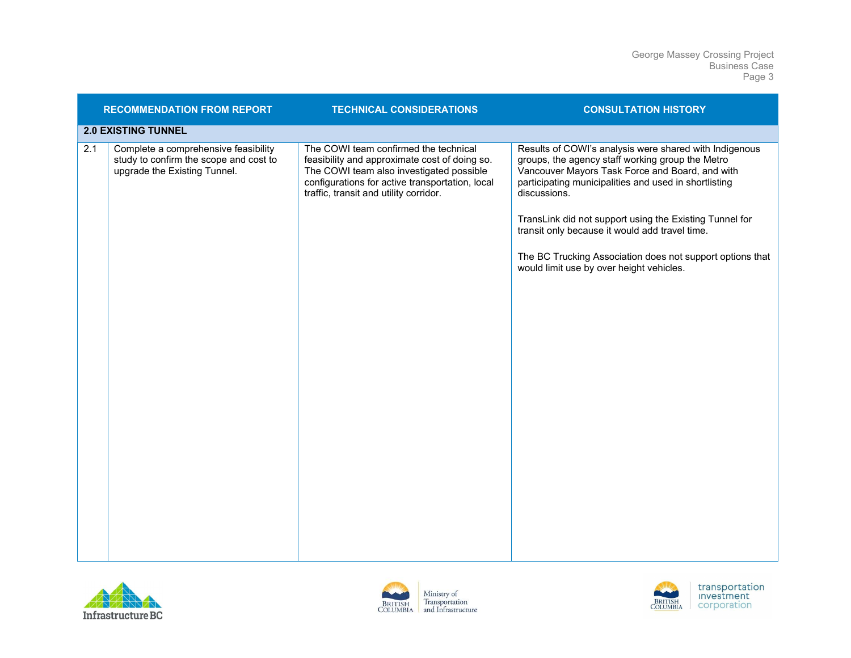|     | <b>RECOMMENDATION FROM REPORT</b>                                                                              | <b>TECHNICAL CONSIDERATIONS</b>                                                                                                                                                                                                 | <b>CONSULTATION HISTORY</b>                                                                                                                                                                                                                                                                                                                                                                                                                                  |
|-----|----------------------------------------------------------------------------------------------------------------|---------------------------------------------------------------------------------------------------------------------------------------------------------------------------------------------------------------------------------|--------------------------------------------------------------------------------------------------------------------------------------------------------------------------------------------------------------------------------------------------------------------------------------------------------------------------------------------------------------------------------------------------------------------------------------------------------------|
|     | <b>2.0 EXISTING TUNNEL</b>                                                                                     |                                                                                                                                                                                                                                 |                                                                                                                                                                                                                                                                                                                                                                                                                                                              |
| 2.1 | Complete a comprehensive feasibility<br>study to confirm the scope and cost to<br>upgrade the Existing Tunnel. | The COWI team confirmed the technical<br>feasibility and approximate cost of doing so.<br>The COWI team also investigated possible<br>configurations for active transportation, local<br>traffic, transit and utility corridor. | Results of COWI's analysis were shared with Indigenous<br>groups, the agency staff working group the Metro<br>Vancouver Mayors Task Force and Board, and with<br>participating municipalities and used in shortlisting<br>discussions.<br>TransLink did not support using the Existing Tunnel for<br>transit only because it would add travel time.<br>The BC Trucking Association does not support options that<br>would limit use by over height vehicles. |
|     |                                                                                                                |                                                                                                                                                                                                                                 |                                                                                                                                                                                                                                                                                                                                                                                                                                                              |





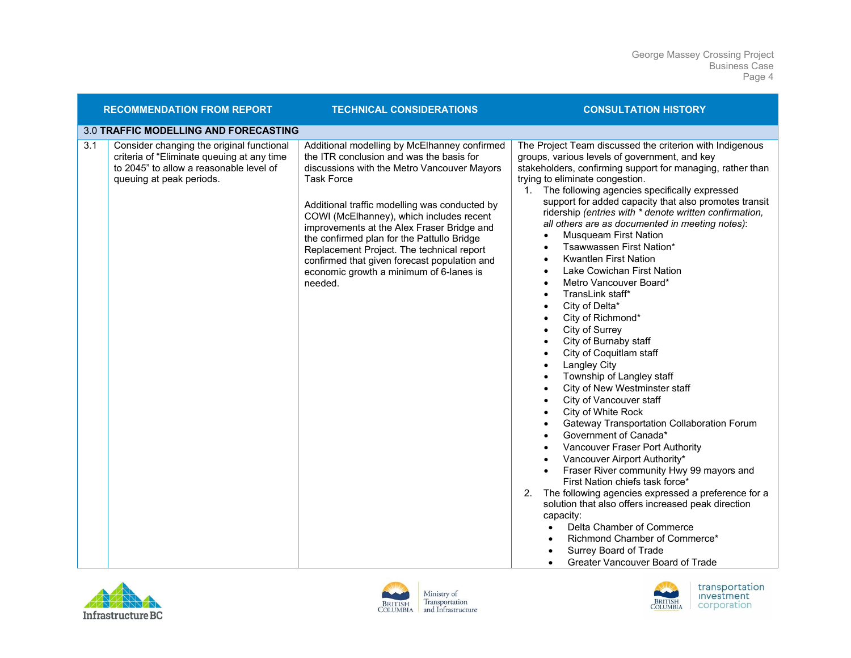|     | <b>RECOMMENDATION FROM REPORT</b>                                                                                                                              | <b>TECHNICAL CONSIDERATIONS</b>                                                                                                                                                                                                                                                                                                                                                                                                                                                                          | <b>CONSULTATION HISTORY</b>                                                                                                                                                                                                                                                                                                                                                                                                                                                                                                                                                                                                                                                                                                                                                                                                                                                                                                                                                                                                                                                                                                                                                                                                                                                                                                                                                                                                                                                           |
|-----|----------------------------------------------------------------------------------------------------------------------------------------------------------------|----------------------------------------------------------------------------------------------------------------------------------------------------------------------------------------------------------------------------------------------------------------------------------------------------------------------------------------------------------------------------------------------------------------------------------------------------------------------------------------------------------|---------------------------------------------------------------------------------------------------------------------------------------------------------------------------------------------------------------------------------------------------------------------------------------------------------------------------------------------------------------------------------------------------------------------------------------------------------------------------------------------------------------------------------------------------------------------------------------------------------------------------------------------------------------------------------------------------------------------------------------------------------------------------------------------------------------------------------------------------------------------------------------------------------------------------------------------------------------------------------------------------------------------------------------------------------------------------------------------------------------------------------------------------------------------------------------------------------------------------------------------------------------------------------------------------------------------------------------------------------------------------------------------------------------------------------------------------------------------------------------|
|     | <b>3.0 TRAFFIC MODELLING AND FORECASTING</b>                                                                                                                   |                                                                                                                                                                                                                                                                                                                                                                                                                                                                                                          |                                                                                                                                                                                                                                                                                                                                                                                                                                                                                                                                                                                                                                                                                                                                                                                                                                                                                                                                                                                                                                                                                                                                                                                                                                                                                                                                                                                                                                                                                       |
| 3.1 | Consider changing the original functional<br>criteria of "Eliminate queuing at any time<br>to 2045" to allow a reasonable level of<br>queuing at peak periods. | Additional modelling by McElhanney confirmed<br>the ITR conclusion and was the basis for<br>discussions with the Metro Vancouver Mayors<br><b>Task Force</b><br>Additional traffic modelling was conducted by<br>COWI (McElhanney), which includes recent<br>improvements at the Alex Fraser Bridge and<br>the confirmed plan for the Pattullo Bridge<br>Replacement Project. The technical report<br>confirmed that given forecast population and<br>economic growth a minimum of 6-lanes is<br>needed. | The Project Team discussed the criterion with Indigenous<br>groups, various levels of government, and key<br>stakeholders, confirming support for managing, rather than<br>trying to eliminate congestion.<br>1. The following agencies specifically expressed<br>support for added capacity that also promotes transit<br>ridership (entries with * denote written confirmation,<br>all others are as documented in meeting notes):<br><b>Musqueam First Nation</b><br>Tsawwassen First Nation*<br>$\bullet$<br><b>Kwantlen First Nation</b><br>$\bullet$<br>Lake Cowichan First Nation<br>$\bullet$<br>Metro Vancouver Board*<br>$\bullet$<br>TransLink staff*<br>City of Delta*<br>City of Richmond*<br>City of Surrey<br>$\bullet$<br>City of Burnaby staff<br>City of Coquitlam staff<br>$\bullet$<br><b>Langley City</b><br>Township of Langley staff<br>$\bullet$<br>City of New Westminster staff<br>$\bullet$<br>City of Vancouver staff<br>City of White Rock<br>Gateway Transportation Collaboration Forum<br>Government of Canada*<br>Vancouver Fraser Port Authority<br>Vancouver Airport Authority*<br>$\bullet$<br>Fraser River community Hwy 99 mayors and<br>$\bullet$<br>First Nation chiefs task force*<br>The following agencies expressed a preference for a<br>2.<br>solution that also offers increased peak direction<br>capacity:<br>Delta Chamber of Commerce<br>Richmond Chamber of Commerce*<br>Surrey Board of Trade<br>Greater Vancouver Board of Trade |







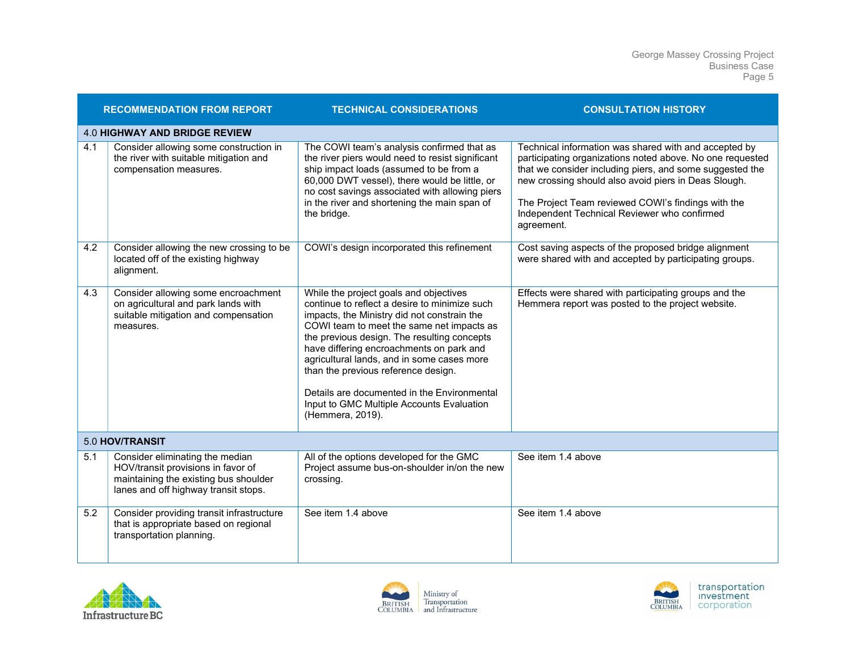|     | <b>RECOMMENDATION FROM REPORT</b>                                                                                                                      | <b>TECHNICAL CONSIDERATIONS</b>                                                                                                                                                                                                                                                                                                                                                                                                                                                     | <b>CONSULTATION HISTORY</b>                                                                                                                                                                                                                                                                                                                                |  |  |
|-----|--------------------------------------------------------------------------------------------------------------------------------------------------------|-------------------------------------------------------------------------------------------------------------------------------------------------------------------------------------------------------------------------------------------------------------------------------------------------------------------------------------------------------------------------------------------------------------------------------------------------------------------------------------|------------------------------------------------------------------------------------------------------------------------------------------------------------------------------------------------------------------------------------------------------------------------------------------------------------------------------------------------------------|--|--|
|     | <b>4.0 HIGHWAY AND BRIDGE REVIEW</b>                                                                                                                   |                                                                                                                                                                                                                                                                                                                                                                                                                                                                                     |                                                                                                                                                                                                                                                                                                                                                            |  |  |
| 4.1 | Consider allowing some construction in<br>the river with suitable mitigation and<br>compensation measures.                                             | The COWI team's analysis confirmed that as<br>the river piers would need to resist significant<br>ship impact loads (assumed to be from a<br>60,000 DWT vessel), there would be little, or<br>no cost savings associated with allowing piers<br>in the river and shortening the main span of<br>the bridge.                                                                                                                                                                         | Technical information was shared with and accepted by<br>participating organizations noted above. No one requested<br>that we consider including piers, and some suggested the<br>new crossing should also avoid piers in Deas Slough.<br>The Project Team reviewed COWI's findings with the<br>Independent Technical Reviewer who confirmed<br>agreement. |  |  |
| 4.2 | Consider allowing the new crossing to be<br>located off of the existing highway<br>alignment.                                                          | COWI's design incorporated this refinement                                                                                                                                                                                                                                                                                                                                                                                                                                          | Cost saving aspects of the proposed bridge alignment<br>were shared with and accepted by participating groups.                                                                                                                                                                                                                                             |  |  |
| 4.3 | Consider allowing some encroachment<br>on agricultural and park lands with<br>suitable mitigation and compensation<br>measures.                        | While the project goals and objectives<br>continue to reflect a desire to minimize such<br>impacts, the Ministry did not constrain the<br>COWI team to meet the same net impacts as<br>the previous design. The resulting concepts<br>have differing encroachments on park and<br>agricultural lands, and in some cases more<br>than the previous reference design.<br>Details are documented in the Environmental<br>Input to GMC Multiple Accounts Evaluation<br>(Hemmera, 2019). | Effects were shared with participating groups and the<br>Hemmera report was posted to the project website.                                                                                                                                                                                                                                                 |  |  |
|     | 5.0 HOV/TRANSIT                                                                                                                                        |                                                                                                                                                                                                                                                                                                                                                                                                                                                                                     |                                                                                                                                                                                                                                                                                                                                                            |  |  |
| 5.1 | Consider eliminating the median<br>HOV/transit provisions in favor of<br>maintaining the existing bus shoulder<br>lanes and off highway transit stops. | All of the options developed for the GMC<br>Project assume bus-on-shoulder in/on the new<br>crossing.                                                                                                                                                                                                                                                                                                                                                                               | See item 1.4 above                                                                                                                                                                                                                                                                                                                                         |  |  |
| 5.2 | Consider providing transit infrastructure<br>that is appropriate based on regional<br>transportation planning.                                         | See item 1.4 above                                                                                                                                                                                                                                                                                                                                                                                                                                                                  | See item 1.4 above                                                                                                                                                                                                                                                                                                                                         |  |  |